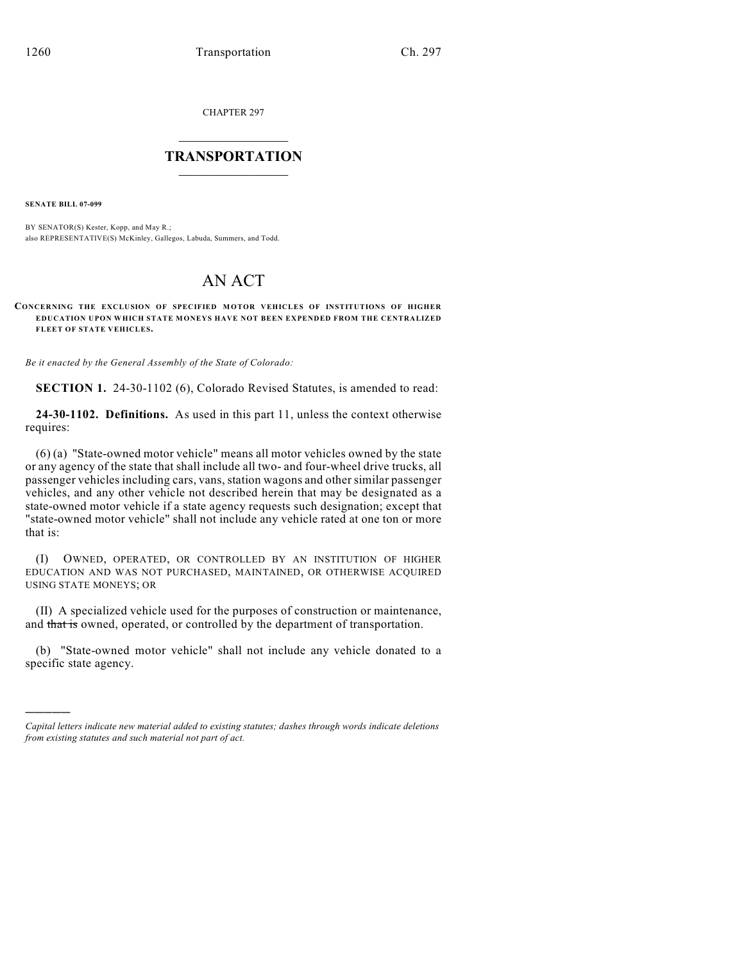CHAPTER 297

## $\mathcal{L}_\text{max}$  . The set of the set of the set of the set of the set of the set of the set of the set of the set of the set of the set of the set of the set of the set of the set of the set of the set of the set of the set **TRANSPORTATION**  $\_$

**SENATE BILL 07-099**

)))))

BY SENATOR(S) Kester, Kopp, and May R.; also REPRESENTATIVE(S) McKinley, Gallegos, Labuda, Summers, and Todd.

## AN ACT

## **CONCERNING THE EXCLUSION OF SPECIFIED M OTOR VEHICLES OF INSTITUTIONS OF HIGHER EDUCATION UPON WHICH STATE MONEYS HAVE NOT BEEN EXPENDED FROM THE CENTRALIZED FLEET OF STATE VEHICLES.**

*Be it enacted by the General Assembly of the State of Colorado:*

**SECTION 1.** 24-30-1102 (6), Colorado Revised Statutes, is amended to read:

**24-30-1102. Definitions.** As used in this part 11, unless the context otherwise requires:

(6) (a) "State-owned motor vehicle" means all motor vehicles owned by the state or any agency of the state that shall include all two- and four-wheel drive trucks, all passenger vehicles including cars, vans, station wagons and other similar passenger vehicles, and any other vehicle not described herein that may be designated as a state-owned motor vehicle if a state agency requests such designation; except that "state-owned motor vehicle" shall not include any vehicle rated at one ton or more that is:

(I) OWNED, OPERATED, OR CONTROLLED BY AN INSTITUTION OF HIGHER EDUCATION AND WAS NOT PURCHASED, MAINTAINED, OR OTHERWISE ACQUIRED USING STATE MONEYS; OR

(II) A specialized vehicle used for the purposes of construction or maintenance, and that is owned, operated, or controlled by the department of transportation.

(b) "State-owned motor vehicle" shall not include any vehicle donated to a specific state agency.

*Capital letters indicate new material added to existing statutes; dashes through words indicate deletions from existing statutes and such material not part of act.*